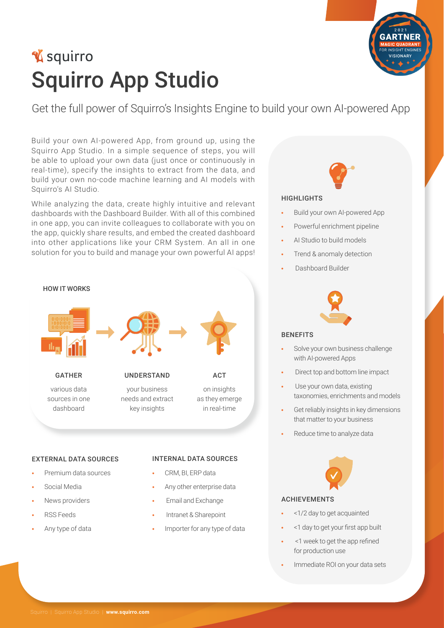# **V** squirro **Squirro App Studio**

Get the full power of Squirro's Insights Engine to build your own AI-powered App

Build your own Al-powered App, from ground up, using the Squirro App Studio. In a simple sequence of steps, you will be able to upload your own data (just once or continuously in real-time), specify the insights to extract from the data, and build your own no-code machine learning and AI models with Squirro's AI Studio.

While analyzing the data, create highly intuitive and relevant dashboards with the Dashboard Builder. With all of this combined in one app, you can invite colleagues to collaborate with you on the app, quickly share results, and embed the created dashboard into other applications like your CRM System. An all in one solution for you to build and manage your own powerful AI apps!



- Media Social**•**
- News providers
- Feeds RSS**•**
- Any type of data
- CRM, BI, ERP data
- Any other enterprise data
- Email and Exchange
- Intranet & Sharepoint
- Importer for any type of data



#### **HIGHLIGHTS**

- Build your own AI-powered App
- Powerful enrichment pipeline
- AI Studio to build models
- Trend & anomaly detection
- Dashboard Builder



#### BENEFITS

- Solve your own business challenge with Al-powered Apps
- Direct top and bottom line impact
- Use your own data, existing taxonomies, enrichments and models
- Get reliably insights in key dimensions that matter to your business
- Reduce time to analyze data



### ACHIEVEMENTS

- <1/2 day to get acquainted
- $1$  day to get your first app built
- refined app the get to week 1**•** < for production use
- Immediate ROI on your data sets